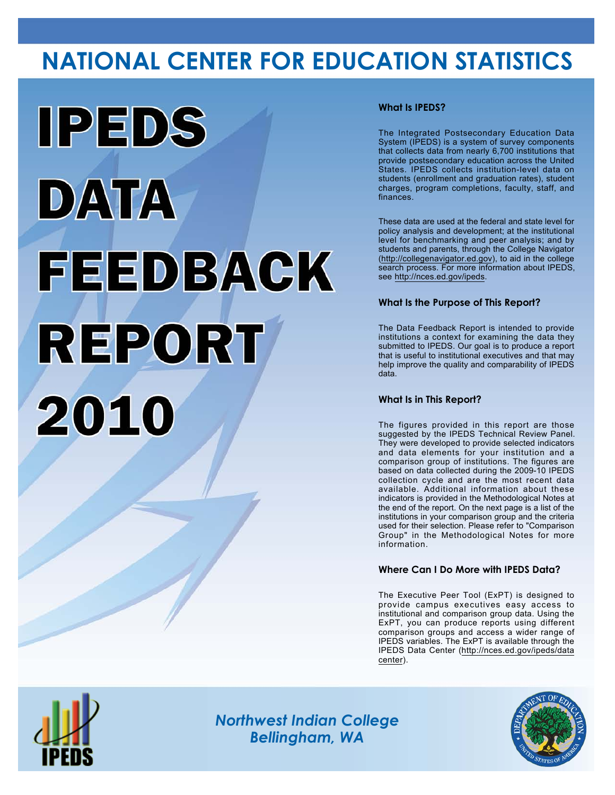# **NATIONAL CENTER FOR EDUCATION STATISTICS**



### **What Is IPEDS?**

The Integrated Postsecondary Education Data System (IPEDS) is a system of survey components that collects data from nearly 6,700 institutions that provide postsecondary education across the United States. IPEDS collects institution-level data on students (enrollment and graduation rates), student charges, program completions, faculty, staff, and finances.

These data are used at the federal and state level for policy analysis and development; at the institutional level for benchmarking and peer analysis; and by students and parents, through the College Navigator (<http://collegenavigator.ed.gov>), to aid in the college search process. For more information about IPEDS, see [http://nces.ed.gov/ipeds.](http://nces.ed.gov/ipeds)

### **What Is the Purpose of This Report?**

The Data Feedback Report is intended to provide institutions a context for examining the data they submitted to IPEDS. Our goal is to produce a report that is useful to institutional executives and that may help improve the quality and comparability of IPEDS data.

### **What Is in This Report?**

The figures provided in this report are those suggested by the IPEDS Technical Review Panel. They were developed to provide selected indicators and data elements for your institution and a comparison group of institutions. The figures are based on data collected during the 2009-10 IPEDS collection cycle and are the most recent data available. Additional information about these indicators is provided in the Methodological Notes at the end of the report. On the next page is a list of the institutions in your comparison group and the criteria used for their selection. Please refer to "Comparison Group" in the Methodological Notes for more information.

### **Where Can I Do More with IPEDS Data?**

The Executive Peer Tool (ExPT) is designed to provide campus executives easy access to institutional and comparison group data. Using the ExPT, you can produce reports using different comparison groups and access a wider range of IPEDS variables. The ExPT is available through the IPEDS Data Center ([http://nces.ed.gov/ipeds/data](http://nces.ed.gov/ipeds/datacenter) [center](http://nces.ed.gov/ipeds/datacenter)).



Image description. Cover Image End of image description.

*Northwest Indian College Bellingham, WA*

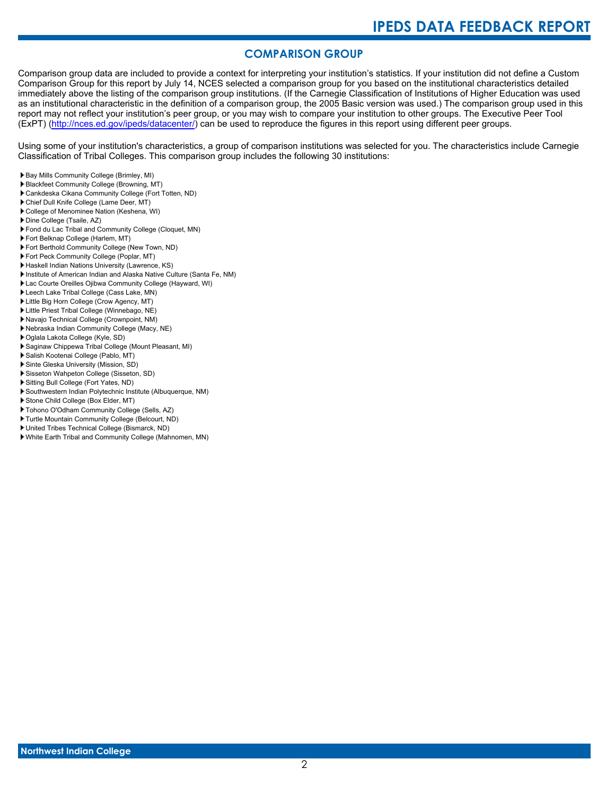# **COMPARISON GROUP**

Comparison group data are included to provide a context for interpreting your institution's statistics. If your institution did not define a Custom Comparison Group for this report by July 14, NCES selected a comparison group for you based on the institutional characteristics detailed immediately above the listing of the comparison group institutions. (If the Carnegie Classification of Institutions of Higher Education was used as an institutional characteristic in the definition of a comparison group, the 2005 Basic version was used.) The comparison group used in this report may not reflect your institution's peer group, or you may wish to compare your institution to other groups. The Executive Peer Tool (ExPT) [\(http://nces.ed.gov/ipeds/datacenter/\)](http://nces.ed.gov/ipeds/datacenter/) can be used to reproduce the figures in this report using different peer groups.

Using some of your institution's characteristics, a group of comparison institutions was selected for you. The characteristics include Carnegie Classification of Tribal Colleges. This comparison group includes the following 30 institutions:

- Bay Mills Community College (Brimley, MI)
- Blackfeet Community College (Browning, MT)
- Cankdeska Cikana Community College (Fort Totten, ND)
- Chief Dull Knife College (Lame Deer, MT)
- College of Menominee Nation (Keshena, WI)
- Dine College (Tsaile, AZ)
- Fond du Lac Tribal and Community College (Cloquet, MN)
- Fort Belknap College (Harlem, MT)
- Fort Berthold Community College (New Town, ND)
- Fort Peck Community College (Poplar, MT)
- Haskell Indian Nations University (Lawrence, KS)
- Institute of American Indian and Alaska Native Culture (Santa Fe, NM)
- Lac Courte Oreilles Ojibwa Community College (Hayward, WI)
- Leech Lake Tribal College (Cass Lake, MN)
- Little Big Horn College (Crow Agency, MT)
- Little Priest Tribal College (Winnebago, NE)
- Navajo Technical College (Crownpoint, NM)
- Nebraska Indian Community College (Macy, NE)
- Oglala Lakota College (Kyle, SD)
- Saginaw Chippewa Tribal College (Mount Pleasant, MI)
- Salish Kootenai College (Pablo, MT)
- Sinte Gleska University (Mission, SD)
- Sisseton Wahpeton College (Sisseton, SD)
- Sitting Bull College (Fort Yates, ND)
- Southwestern Indian Polytechnic Institute (Albuquerque, NM)
- Stone Child College (Box Elder, MT)
- Tohono O'Odham Community College (Sells, AZ)
- Turtle Mountain Community College (Belcourt, ND)
- United Tribes Technical College (Bismarck, ND)
- White Earth Tribal and Community College (Mahnomen, MN)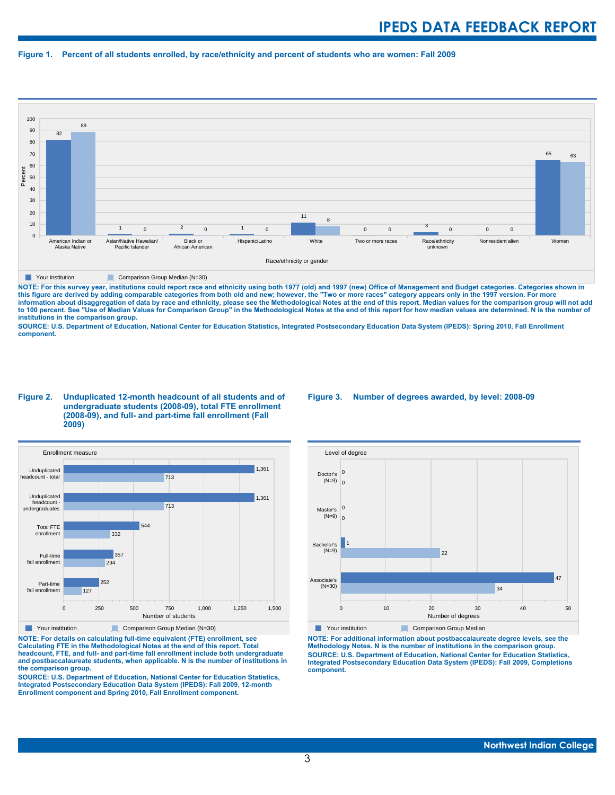#### **Figure 1. Percent of all students enrolled, by race/ethnicity and percent of students who are women: Fall 2009**



#### **The Comparison Group Median (N=30)** Comparison Group Median (N=30)

NOTE: For this survey year, institutions could report race and ethnicity using both 1977 (old) and 1997 (new) Office of Management and Budget categories. Categories shown in<br>this figure are derived by adding comparable cat **information about disaggregation of data by race and ethnicity, please see the Methodological Notes at the end of this report. Median values for the comparison group will not add to 100 percent. See "Use of Median Values for Comparison Group" in the Methodological Notes at the end of this report for how median values are determined. N is the number of institutions in the comparison group.**

**SOURCE: U.S. Department of Education, National Center for Education Statistics, Integrated Postsecondary Education Data System (IPEDS): Spring 2010, Fall Enrollment component.**

#### **Figure 2. Unduplicated 12-month headcount of all students and of undergraduate students (2008-09), total FTE enrollment (2008-09), and full- and part-time fall enrollment (Fall 2009)**



**The Comparison Group Median (N=30)** Comparison Group Median (N=30)

**NOTE: For details on calculating full-time equivalent (FTE) enrollment, see Calculating FTE in the Methodological Notes at the end of this report. Total headcount, FTE, and full- and part-time fall enrollment include both undergraduate and postbaccalaureate students, when applicable. N is the number of institutions in the comparison group.**

**SOURCE: U.S. Department of Education, National Center for Education Statistics, Integrated Postsecondary Education Data System (IPEDS): Fall 2009, 12-month Enrollment component and Spring 2010, Fall Enrollment component.**

#### **Figure 3. Number of degrees awarded, by level: 2008-09**



**NOTE: For additional information about postbaccalaureate degree levels, see the Methodology Notes. N is the number of institutions in the comparison group. SOURCE: U.S. Department of Education, National Center for Education Statistics, Integrated Postsecondary Education Data System (IPEDS): Fall 2009, Completions component.**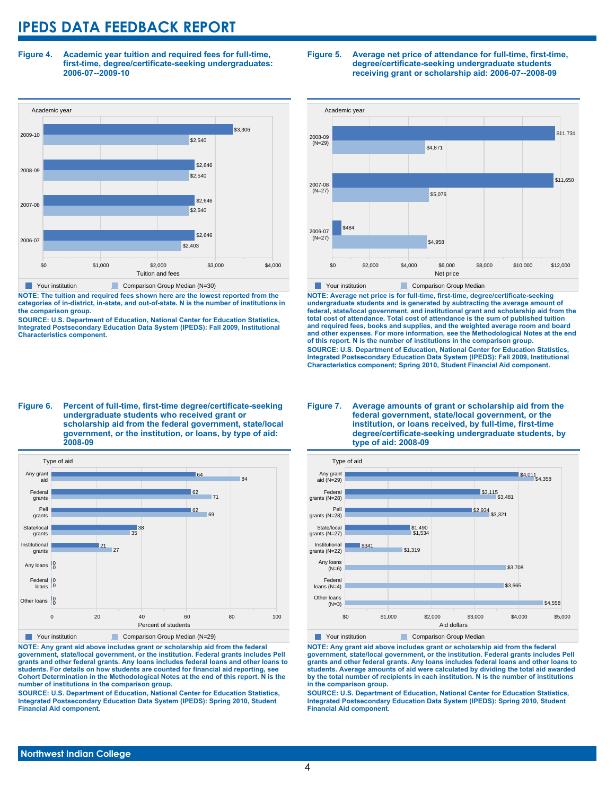**Figure 4. Academic year tuition and required fees for full-time, first-time, degree/certificate-seeking undergraduates: 2006-07--2009-10**



**NOTE: The tuition and required fees shown here are the lowest reported from the categories of in-district, in-state, and out-of-state. N is the number of institutions in the comparison group.**

**SOURCE: U.S. Department of Education, National Center for Education Statistics, Integrated Postsecondary Education Data System (IPEDS): Fall 2009, Institutional Characteristics component.**

#### **Figure 5. Average net price of attendance for full-time, first-time, degree/certificate-seeking undergraduate students receiving grant or scholarship aid: 2006-07--2008-09**



**NOTE: Average net price is for full-time, first-time, degree/certificate-seeking undergraduate students and is generated by subtracting the average amount of federal, state/local government, and institutional grant and scholarship aid from the total cost of attendance. Total cost of attendance is the sum of published tuition and required fees, books and supplies, and the weighted average room and board and other expenses. For more information, see the Methodological Notes at the end of this report. N is the number of institutions in the comparison group. SOURCE: U.S. Department of Education, National Center for Education Statistics, Integrated Postsecondary Education Data System (IPEDS): Fall 2009, Institutional Characteristics component; Spring 2010, Student Financial Aid component.**

#### **Figure 6. Percent of full-time, first-time degree/certificate-seeking undergraduate students who received grant or scholarship aid from the federal government, state/local government, or the institution, or loans, by type of aid: 2008-09**



**NOTE: Any grant aid above includes grant or scholarship aid from the federal government, state/local government, or the institution. Federal grants includes Pell grants and other federal grants. Any loans includes federal loans and other loans to students. For details on how students are counted for financial aid reporting, see Cohort Determination in the Methodological Notes at the end of this report. N is the number of institutions in the comparison group.**

**SOURCE: U.S. Department of Education, National Center for Education Statistics, Integrated Postsecondary Education Data System (IPEDS): Spring 2010, Student Financial Aid component.**

#### **Figure 7. Average amounts of grant or scholarship aid from the federal government, state/local government, or the institution, or loans received, by full-time, first-time degree/certificate-seeking undergraduate students, by type of aid: 2008-09**



**NOTE: Any grant aid above includes grant or scholarship aid from the federal government, state/local government, or the institution. Federal grants includes Pell grants and other federal grants. Any loans includes federal loans and other loans to students. Average amounts of aid were calculated by dividing the total aid awarded by the total number of recipients in each institution. N is the number of institutions in the comparison group.**

**SOURCE: U.S. Department of Education, National Center for Education Statistics, Integrated Postsecondary Education Data System (IPEDS): Spring 2010, Student Financial Aid component.**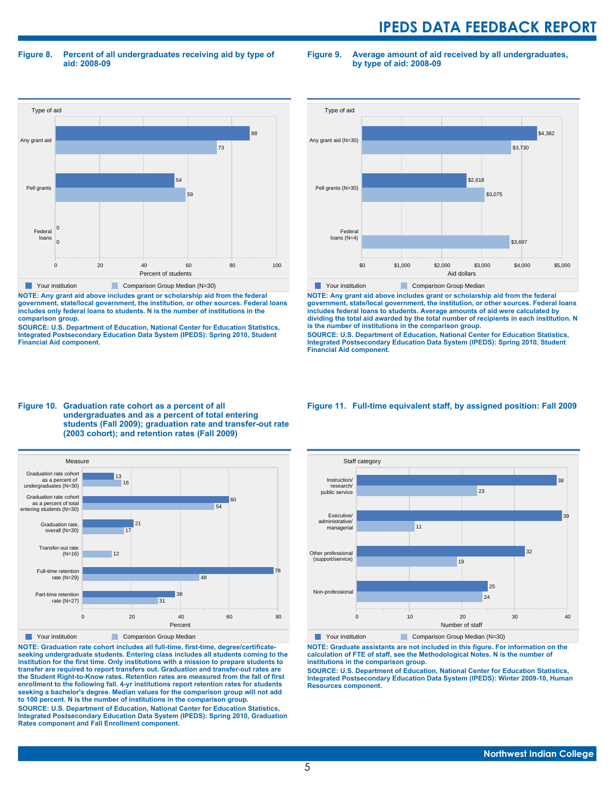**Figure 8. Percent of all undergraduates receiving aid by type of aid: 2008-09**

**Figure 9. Average amount of aid received by all undergraduates, by type of aid: 2008-09**



**NOTE: Any grant aid above includes grant or scholarship aid from the federal government, state/local government, the institution, or other sources. Federal loans includes only federal loans to students. N is the number of institutions in the comparison group.**

**SOURCE: U.S. Department of Education, National Center for Education Statistics, Integrated Postsecondary Education Data System (IPEDS): Spring 2010, Student Financial Aid component.**



**NOTE: Any grant aid above includes grant or scholarship aid from the federal government, state/local government, the institution, or other sources. Federal loans includes federal loans to students. Average amounts of aid were calculated by dividing the total aid awarded by the total number of recipients in each institution. N is the number of institutions in the comparison group.**

**SOURCE: U.S. Department of Education, National Center for Education Statistics, Integrated Postsecondary Education Data System (IPEDS): Spring 2010, Student Financial Aid component.**





**NOTE: Graduation rate cohort includes all full-time, first-time, degree/certificateseeking undergraduate students. Entering class includes all students coming to the institution for the first time. Only institutions with a mission to prepare students to transfer are required to report transfers out. Graduation and transfer-out rates are the Student Right-to-Know rates. Retention rates are measured from the fall of first enrollment to the following fall. 4-yr institutions report retention rates for students seeking a bachelor's degree. Median values for the comparison group will not add to 100 percent. N is the number of institutions in the comparison group.**

**SOURCE: U.S. Department of Education, National Center for Education Statistics, Integrated Postsecondary Education Data System (IPEDS): Spring 2010, Graduation Rates component and Fall Enrollment component.**

#### **Figure 11. Full-time equivalent staff, by assigned position: Fall 2009**



**NOTE: Graduate assistants are not included in this figure. For information on the calculation of FTE of staff, see the Methodological Notes. N is the number of institutions in the comparison group.**

**SOURCE: U.S. Department of Education, National Center for Education Statistics, Integrated Postsecondary Education Data System (IPEDS): Winter 2009-10, Human Resources component.**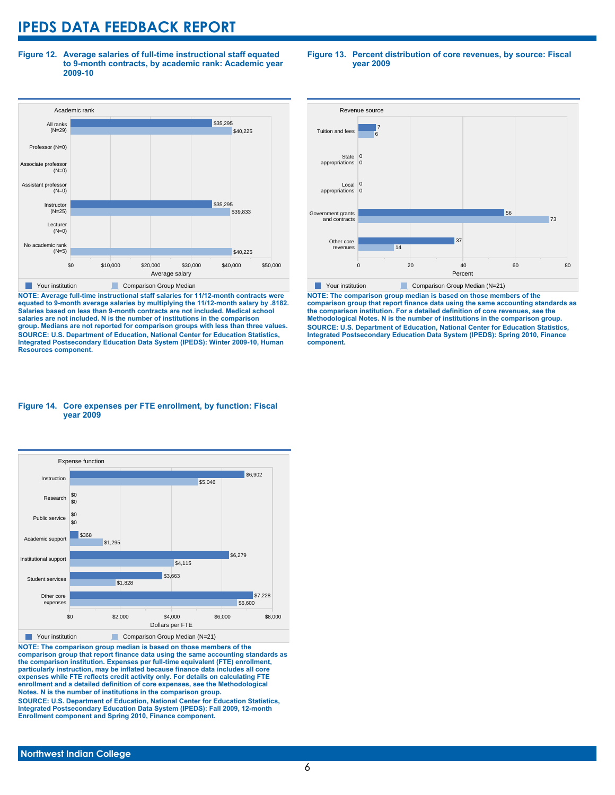**Figure 12. Average salaries of full-time instructional staff equated to 9-month contracts, by academic rank: Academic year 2009-10**



**NOTE: Average full-time instructional staff salaries for 11/12-month contracts were equated to 9-month average salaries by multiplying the 11/12-month salary by .8182. Salaries based on less than 9-month contracts are not included. Medical school salaries are not included. N is the number of institutions in the comparison group. Medians are not reported for comparison groups with less than three values. SOURCE: U.S. Department of Education, National Center for Education Statistics, Integrated Postsecondary Education Data System (IPEDS): Winter 2009-10, Human Resources component.**

#### **Figure 13. Percent distribution of core revenues, by source: Fiscal year 2009**



**NOTE: The comparison group median is based on those members of the comparison group that report finance data using the same accounting standards as the comparison institution. For a detailed definition of core revenues, see the Methodological Notes. N is the number of institutions in the comparison group. SOURCE: U.S. Department of Education, National Center for Education Statistics, Integrated Postsecondary Education Data System (IPEDS): Spring 2010, Finance component.**

#### **Figure 14. Core expenses per FTE enrollment, by function: Fiscal year 2009**



**NOTE: The comparison group median is based on those members of the comparison group that report finance data using the same accounting standards as the comparison institution. Expenses per full-time equivalent (FTE) enrollment, particularly instruction, may be inflated because finance data includes all core expenses while FTE reflects credit activity only. For details on calculating FTE enrollment and a detailed definition of core expenses, see the Methodological Notes. N is the number of institutions in the comparison group. SOURCE: U.S. Department of Education, National Center for Education Statistics, Integrated Postsecondary Education Data System (IPEDS): Fall 2009, 12-month**

**Enrollment component and Spring 2010, Finance component.**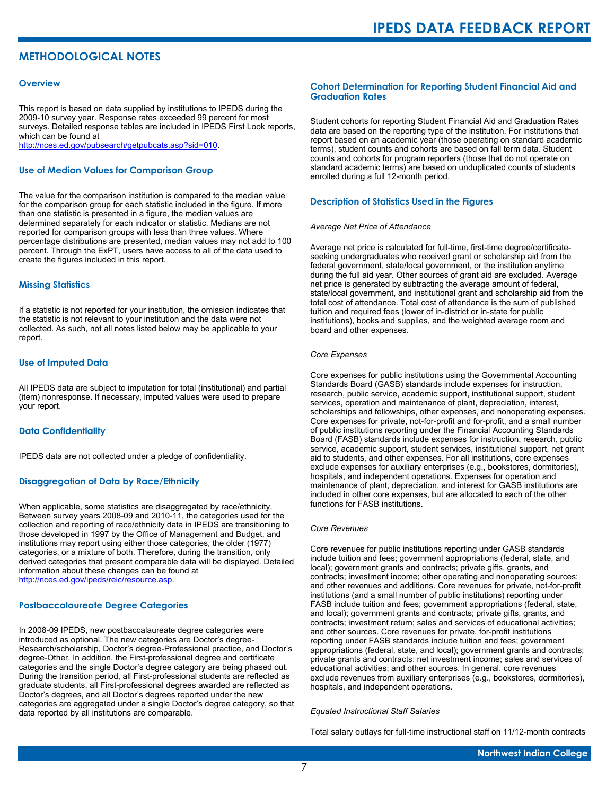# **METHODOLOGICAL NOTES**

#### **Overview**

This report is based on data supplied by institutions to IPEDS during the 2009-10 survey year. Response rates exceeded 99 percent for most surveys. Detailed response tables are included in IPEDS First Look reports, which can be found at [http://nces.ed.gov/pubsearch/getpubcats.asp?sid=010.](http://nces.ed.gov/pubsearch/getpubcats.asp?sid=010)

#### **Use of Median Values for Comparison Group**

The value for the comparison institution is compared to the median value for the comparison group for each statistic included in the figure. If more than one statistic is presented in a figure, the median values are determined separately for each indicator or statistic. Medians are not reported for comparison groups with less than three values. Where percentage distributions are presented, median values may not add to 100 percent. Through the ExPT, users have access to all of the data used to create the figures included in this report.

#### **Missing Statistics**

If a statistic is not reported for your institution, the omission indicates that the statistic is not relevant to your institution and the data were not collected. As such, not all notes listed below may be applicable to your report.

#### **Use of Imputed Data**

All IPEDS data are subject to imputation for total (institutional) and partial (item) nonresponse. If necessary, imputed values were used to prepare your report.

#### **Data Confidentiality**

IPEDS data are not collected under a pledge of confidentiality.

#### **Disaggregation of Data by Race/Ethnicity**

When applicable, some statistics are disaggregated by race/ethnicity. Between survey years 2008-09 and 2010-11, the categories used for the collection and reporting of race/ethnicity data in IPEDS are transitioning to those developed in 1997 by the Office of Management and Budget, and institutions may report using either those categories, the older (1977) categories, or a mixture of both. Therefore, during the transition, only derived categories that present comparable data will be displayed. Detailed information about these changes can be found at <http://nces.ed.gov/ipeds/reic/resource.asp>.

#### **Postbaccalaureate Degree Categories**

In 2008-09 IPEDS, new postbaccalaureate degree categories were introduced as optional. The new categories are Doctor's degree-Research/scholarship, Doctor's degree-Professional practice, and Doctor's degree-Other. In addition, the First-professional degree and certificate categories and the single Doctor's degree category are being phased out. During the transition period, all First-professional students are reflected as graduate students, all First-professional degrees awarded are reflected as Doctor's degrees, and all Doctor's degrees reported under the new categories are aggregated under a single Doctor's degree category, so that data reported by all institutions are comparable.

#### **Cohort Determination for Reporting Student Financial Aid and Graduation Rates**

Student cohorts for reporting Student Financial Aid and Graduation Rates data are based on the reporting type of the institution. For institutions that report based on an academic year (those operating on standard academic terms), student counts and cohorts are based on fall term data. Student counts and cohorts for program reporters (those that do not operate on standard academic terms) are based on unduplicated counts of students enrolled during a full 12-month period.

#### **Description of Statistics Used in the Figures**

#### *Average Net Price of Attendance*

Average net price is calculated for full-time, first-time degree/certificateseeking undergraduates who received grant or scholarship aid from the federal government, state/local government, or the institution anytime during the full aid year. Other sources of grant aid are excluded. Average net price is generated by subtracting the average amount of federal, state/local government, and institutional grant and scholarship aid from the total cost of attendance. Total cost of attendance is the sum of published tuition and required fees (lower of in-district or in-state for public institutions), books and supplies, and the weighted average room and board and other expenses.

#### *Core Expenses*

Core expenses for public institutions using the Governmental Accounting Standards Board (GASB) standards include expenses for instruction, research, public service, academic support, institutional support, student services, operation and maintenance of plant, depreciation, interest, scholarships and fellowships, other expenses, and nonoperating expenses. Core expenses for private, not-for-profit and for-profit, and a small number of public institutions reporting under the Financial Accounting Standards Board (FASB) standards include expenses for instruction, research, public service, academic support, student services, institutional support, net grant aid to students, and other expenses. For all institutions, core expenses exclude expenses for auxiliary enterprises (e.g., bookstores, dormitories), hospitals, and independent operations. Expenses for operation and maintenance of plant, depreciation, and interest for GASB institutions are included in other core expenses, but are allocated to each of the other functions for FASB institutions.

#### *Core Revenues*

Core revenues for public institutions reporting under GASB standards include tuition and fees; government appropriations (federal, state, and local); government grants and contracts; private gifts, grants, and contracts; investment income; other operating and nonoperating sources; and other revenues and additions. Core revenues for private, not-for-profit institutions (and a small number of public institutions) reporting under FASB include tuition and fees; government appropriations (federal, state, and local); government grants and contracts; private gifts, grants, and contracts; investment return; sales and services of educational activities; and other sources. Core revenues for private, for-profit institutions reporting under FASB standards include tuition and fees; government appropriations (federal, state, and local); government grants and contracts; private grants and contracts; net investment income; sales and services of educational activities; and other sources. In general, core revenues exclude revenues from auxiliary enterprises (e.g., bookstores, dormitories), hospitals, and independent operations.

#### *Equated Instructional Staff Salaries*

Total salary outlays for full-time instructional staff on 11/12-month contracts